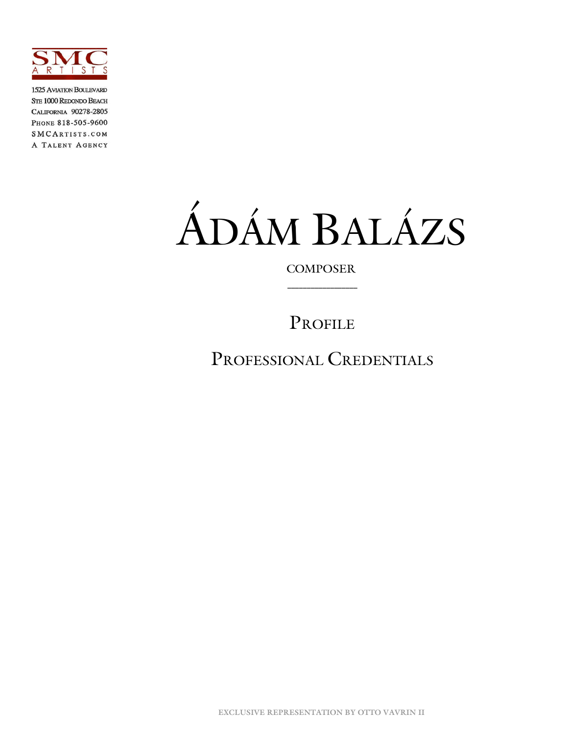

1525 AVIATION BOULEVARD STE 1000 REDONDO BEACH CALIFORNIA 90278-2805 PHONE 818-505-9600 SMCARTISTS.COM A TALENT AGENCY



 **\_\_\_\_\_\_\_\_\_\_\_\_\_\_\_\_\_\_**

PROFILE

PROFESSIONAL CREDENTIALS

**EXCLUSIVE REPRESENTATION BY OTTO VAVRIN II**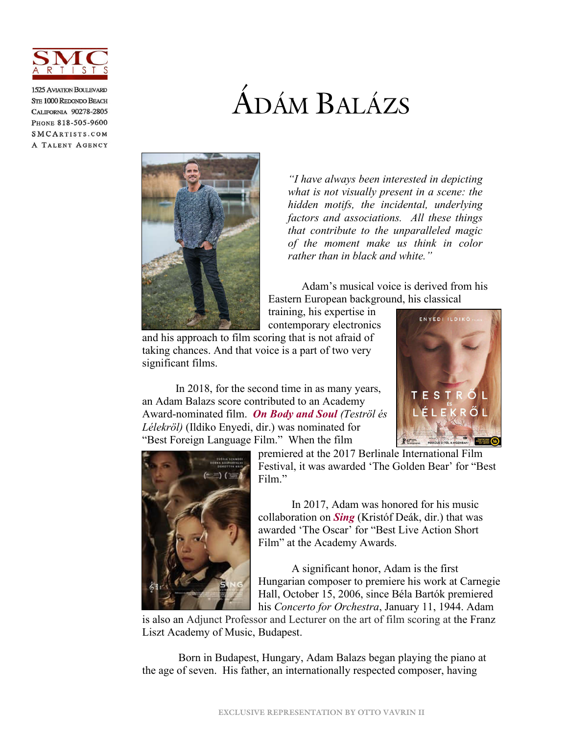

**1525 AVIATION BOULEVARD** STE 1000 REDONDO BEACH CALIFORNIA 90278-2805 PHONE 818-505-9600 SMCARTISTS.COM A TALENT AGENCY

## ÁDÁM BALÁZS



*"I have always been interested in depicting what is not visually present in a scene: the hidden motifs, the incidental, underlying factors and associations. All these things that contribute to the unparalleled magic of the moment make us think in color rather than in black and white."*

Adam's musical voice is derived from his Eastern European background, his classical

training, his expertise in contemporary electronics

and his approach to film scoring that is not afraid of taking chances. And that voice is a part of two very significant films.

In 2018, for the second time in as many years, an Adam Balazs score contributed to an Academy Award-nominated film. *[On Body and Soul](https://www.youtube.com/watch?v=0UE6IU2mhU8) (Teströl és Lélekröl)* (Ildiko Enyedi, dir.) was nominated for "Best Foreign Language Film." When the film





premiered at the 2017 Berlina[le International Film](https://www.youtube.com/watch?v=0UE6IU2mhU8)  Festival, it was awarded 'The Golden Bear' for "Best Film."

In 2017, Adam was honored for his music collaboration on *[Sing](https://www.youtube.com/watch?v=0piiNk_jMrE)* (Kristóf Deák, dir.) that was awarded 'The Oscar' for "Best Live Action Short Film" at the Academy Awards.

A significant honor, Adam is the first Hungarian composer to premiere his work at Carnegie Hall, October 15, 2006, since Béla Bartók premiered his *Concerto for Orchestra*, January 11, 1944. Adam

is also an Adjunct Professor and Lecturer on the art of film scoring at the Franz Liszt Academy of Music, Budapest.

Born in Budapest, Hungary, Adam Balazs began playing the piano at the age of seven. His father, an internationally respected composer, having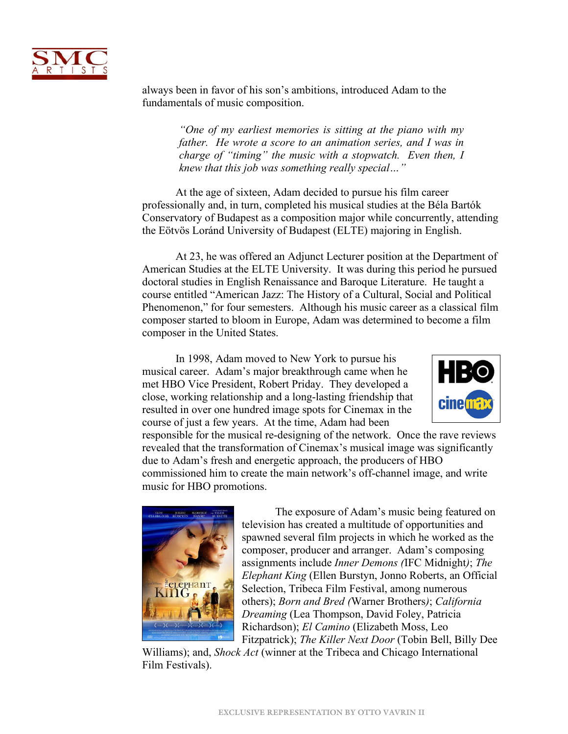

always been in favor of his son's ambitions, introduced Adam to the fundamentals of music composition.

> *"One of my earliest memories is sitting at the piano with my father. He wrote a score to an animation series, and I was in charge of "timing" the music with a stopwatch. Even then, I knew that this job was something really special…"*

At the age of sixteen, Adam decided to pursue his film career professionally and, in turn, completed his musical studies at the Béla Bartók Conservatory of Budapest as a composition major while concurrently, attending the Eötvös Loránd University of Budapest (ELTE) majoring in English.

At 23, he was offered an Adjunct Lecturer position at the Department of American Studies at the ELTE University. It was during this period he pursued doctoral studies in English Renaissance and Baroque Literature. He taught a course entitled "American Jazz: The History of a Cultural, Social and Political Phenomenon," for four semesters. Although his music career as a classical film composer started to bloom in Europe, Adam was determined to become a film composer in the United States.

In 1998, Adam moved to New York to pursue his musical career. Adam's major breakthrough came when he met HBO Vice President, Robert Priday. They developed a close, working relationship and a long-lasting friendship that resulted in over one hundred image spots for Cinemax in the course of just a few years. At the time, Adam had been



responsible for the musical re-designing of the network. Once the rave reviews revealed that the transformation of Cinemax's musical image was significantly due to Adam's fresh and energetic approach, the producers of HBO commissioned him to create the main network's off-channel image, and write music for HBO promotions.



The exposure of Adam's music being featured on television has created a multitude of opportunities and spawned several film projects in which he worked as the composer, producer and arranger. Adam's composing assignments include *Inner Demons (*IFC Midnight*)*; *The Elephant King* (Ellen Burstyn, Jonno Roberts, an Official Selection, Tribeca Film Festival, among numerous others); *Born and Bred (*Warner Brothers*)*; *California Dreaming* (Lea Thompson, David Foley, Patricia Richardson); *El Camino* (Elizabeth Moss, Leo Fitzpatrick); *The Killer Next Door* (Tobin Bell, Billy Dee

Williams); and, *Shock Act* (winner at the Tribeca and Chicago International Film Festivals).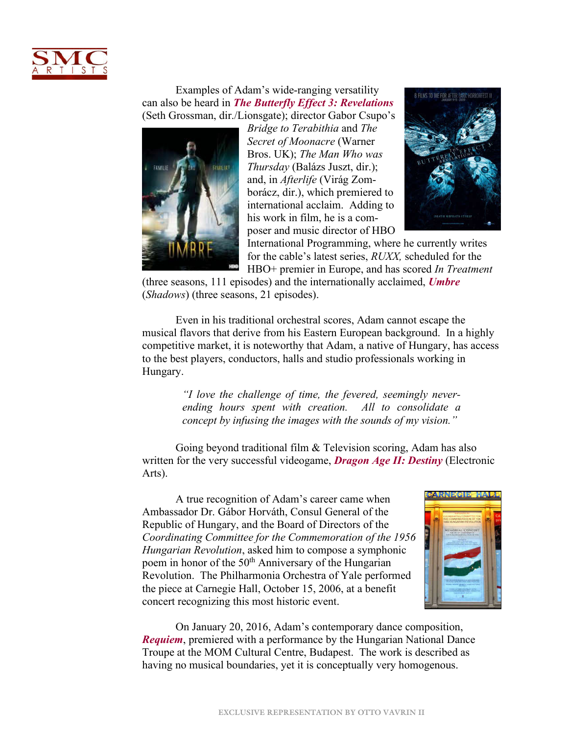

Examples of Adam's wide-ranging versatility can also be heard in *[The Butterfly Effect 3: Revelations](https://www.youtube.com/watch?v=bXni0pAkPzk)* (Seth Grossman, dir./Lionsgate); director Gabor Csupo's



*Bridge to Terabithia* and *The Secret of Moonacre* (Warner Bros. UK); *The Man Who was Thursday* (Balázs Juszt, dir.); and, in *Afterlife* (Virág Zomborácz, dir.), which premiered to international acclaim. Adding to his work in film, he is a composer and music director of HBO



International Programming, where he currently writes for the cable's latest series, *RUXX,* scheduled for the HBO+ premier in Europe, and has scored *In Treatment*

(three seasons, 111 episodes) and the internationally acclaimed, *[Umbre](https://www.youtube.com/watch?v=bDHRZcVPJ8c)* (*Shadows*) (three seasons, 21 episodes).

Even in his traditional orchestral scores, Adam cannot escape the musical flavors that derive from his Eastern European background. In a highly competitive market, it is noteworthy that Adam, a native of Hungary, has access to the best players, conductors, halls and studio professionals working in Hungary.

> *"I love the challenge of time, the fevered, seemingly neverending hours spent with creation. All to consolidate a concept by infusing the images with the sounds of my vision."*

Going beyond traditional film & Television scoring, Adam has also written for the very successful videogame, *[Dragon Age II: Destiny](https://www.youtube.com/watch?v=ok_rcfzRpeU)* (Electronic Arts).

A true recognition of Adam's career came when Ambassador Dr. Gábor Horváth, Consul General of the Republic of Hungary, and the Board of Directors of the *Coordinating Committee for the Commemoration of the 1956 Hungarian Revolution*, asked him to compose a symphonic poem in honor of the 50<sup>th</sup> Anniversary of the Hungarian Revolution. The Philharmonia Orchestra of Yale performed the piece at Carnegie Hall, October 15, 2006, at a benefit concert recognizing this most historic event.



On January 20, 2016, Adam's contemporary dance composition, *[Requiem](https://vimeo.com/153046248)*, premiered with a performance by the Hungarian National Dance Troupe at the MOM Cultural Centre, Budapest. The work is described as having no musical boundaries, yet it is conceptually very homogenous.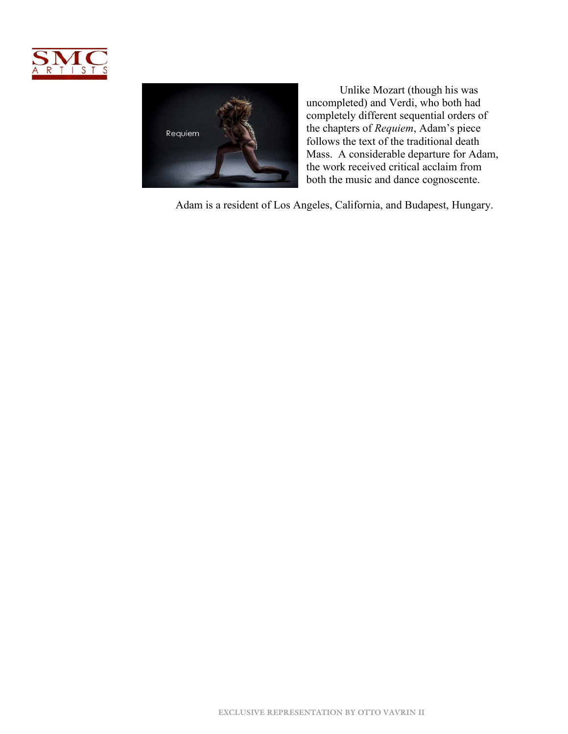



Unlike Mozart (though his was uncompleted) and Verdi, who both had completely different sequential orders of the chapters of *Requiem*, Adam's piece follows the text of the traditional death Mass. A considerable departure for Adam, the work received critical acclaim from both the music and dance cognoscente.

Adam is a resident of Los Angeles, California, and Budapest, Hungary.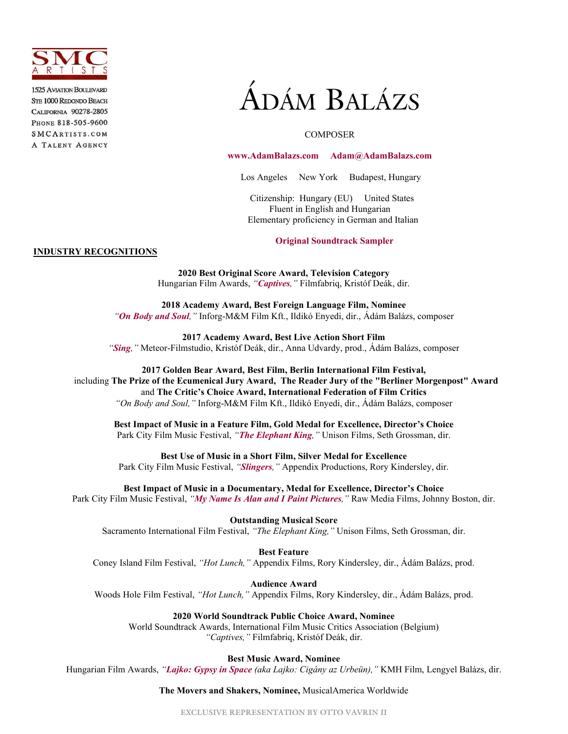

**1525 AVIATION BOULEVARD** STE 1000 REDONDO BEACH CALIFORNIA 90278-2805 PHONE 818-505-9600 SMCARTISTS.COM A TALENT AGENCY

# ÁDÁM BALÁZS

### **COMPOSER**

**www.AdamBalazs.com Adam@AdamBalazs.com**

Los Angeles New York Budapest, Hungary

 Citizenship: Hungary (EU) United States Fluent in English and Hungarian Elementary proficiency in German and Italian

#### **Original [Soundtrack Sampler](https://www.adambalazs.com/feature-films/)**

## **INDUSTRY RECOGNITIONS**

**2020 Best Original Score Award, Television Category** Hungarian Film Awards, *"[Captives](https://www.youtube.com/watch?v=bo1zJPZ2SIw),"* Filmfabriq, Kristóf Deák, dir.

**2018 Academy Award, Best Foreign Language Film, Nominee** *"On [Body](https://www.youtube.com/watch?v=0UE6IU2mhU8) and Soul,"* Inforg-M&M Film Kft., Ildikó Enyedi, dir., Ádám Balázs, composer

**2017 Academy Award, Best Live Action Short Film** *"[Sing](https://www.youtube.com/watch?v=0piiNk_jMrE),"* Meteor-Filmstudio, Kristóf Deák, dir., Anna Udvardy, prod., Ádám Balázs, composer

**2017 Golden Bear Award, Best Film, Berlin International Film Festival,** including **The Prize of the Ecumenical Jury Award, The Reader Jury of the "Berliner Morgenpost" Award**  and **The Critic's Choice Award, International Federation of Film Critics** *"On Body and Soul,"* Inforg-M&M Film Kft., Ildikó Enyedi, dir., Ádám Balázs, composer

**Best Impact of Music in a Feature Film, Gold Medal for Excellence, Director's Choice** Park City Film Music Festival, *"[The Elephant King](https://www.youtube.com/watch?v=c8GxEUJdGxo),"* Unison Films, Seth Grossman, dir.

**Best Use of Music in a Short Film, Silver Medal for Excellence** Park City Film Music Festival, *"[Slingers](https://vimeo.com/112356918),"* Appendix Productions, Rory Kindersley, dir.

**Best Impact of Music in a Documentary, Medal for Excellence, Director's Choice**  Park City Film Music Festival, *"[My Name Is Alan and I Paint Pictures](https://www.youtube.com/watch?v=8JZihIuDlgI),"* Raw Media Films, Johnny Boston, dir.

**Outstanding Musical Score** Sacramento International Film Festival, *"The Elephant King,"* Unison Films, Seth Grossman, dir.

**Best Feature**

Coney Island Film Festival, *"Hot Lunch,"* Appendix Films, Rory Kindersley, dir., Ádám Balázs, prod.

**Audience Award**

Woods Hole Film Festival, *"Hot Lunch,"* Appendix Films, Rory Kindersley, dir., Ádám Balázs, prod.

**2020 World Soundtrack Public Choice Award, Nominee**

World Soundtrack Awards, International Film Music Critics Association (Belgium) *"Captives,"* Filmfabriq, Kristóf Deák, dir.

**Best Music Award, Nominee**

Hungarian Film Awards, *"[Lajko: Gypsy in Space](https://www.youtube.com/watch?v=1BUFpOzMyVw) (aka Lajko: Cigány az Urbeün),"* KMH Film, Lengyel Balázs, dir.

**The Movers and Shakers, Nominee,** MusicalAmerica Worldwide

**EXCLUSIVE REPRESENTATION BY OTTO VAVRIN II**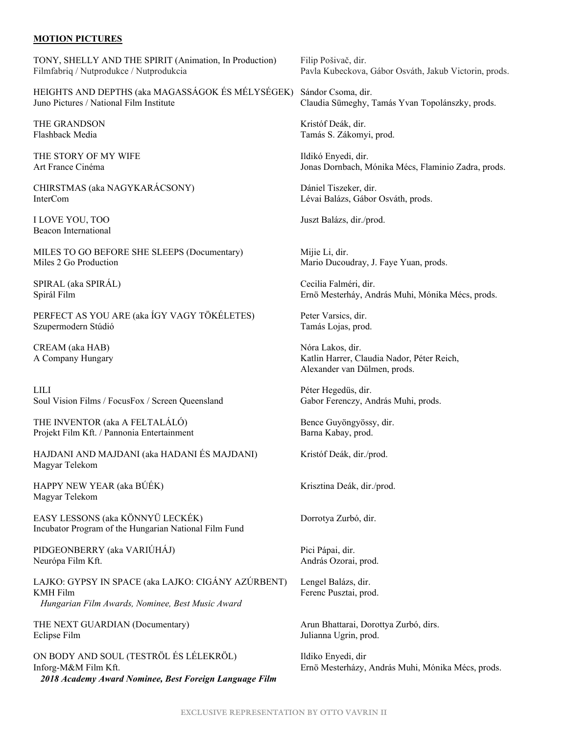### **MOTION PICTURES**

TONY, SHELLY AND THE SPIRIT (Animation, In Production) Filip Pošivač, dir.<br>Filmfabriq / Nutprodukce / Nutprodukcia Pavla Kubeckova,

HEIGHTS AND DEPTHS (aka MAGASSÁGOK ÉS MÉLYSÉGEK) Sándor Csoma, dir.<br>Juno Pictures / National Film Institute Claudia Sümeghy,

THE GRANDSON Kristóf Deák, dir.

THE STORY OF MY WIFE **Ildikó Enyedi, dir.** 

CHIRSTMAS (aka NAGYKARÁCSONY) Dániel Tiszeker, dir.<br>InterCom Lévai Balázs. Gábor

Beacon International

MILES TO GO BEFORE SHE SLEEPS (Documentary) Mijie Li, dir. Miles 2 Go Production Mario Ducoudray, J. Faye Yuan, prods.

SPIRAL (aka SPIRÁL) Cecilia Falméri, dir.

PERFECT AS YOU ARE (aka ÍGY VAGY TÖKÉLETES) Peter Varsics, dir. Szupermodern Stúdió Tamás Lojas, prod.

CREAM (aka HAB) Nóra Lakos, dir.

LILI Péter Hegedüs, dir. Soul Vision Films / FocusFox / Screen Queensland Gabor Ferenczy, András Muhi, prods.

THE INVENTOR (aka A FELTALÁLÓ) Bence Guyöngyössy, dir. Projekt Film Kft. / Pannonia Entertainment Barna Kabay, prod.

HAJDANI AND MAJDANI (aka HADANI ÉS MAJDANI) Kristóf Deák, dir./prod. Magyar Telekom

HAPPY NEW YEAR (aka BÚÉK) Krisztina Deák, dir./prod. Magyar Telekom

EASY LESSONS (aka KÖNNYÜ LECKÉK) Dorrotya Zurbó, dir. Incubator Program of the Hungarian National Film Fund

PIDGEONBERRY (aka VARIÚHÁJ) Pici Pápai, dir. Neurópa Film Kft. **András Ozorai**, prod.

LAJKO: GYPSY IN SPACE (aka LAJKO: CIGÁNY AZÚRBENT) Lengel Balázs, dir. KMH Film Ferenc Pusztai, prod.  *Hungarian Film Awards, Nominee, Best Music Award*

THE NEXT GUARDIAN (Documentary) Arun Bhattarai, Dorottya Zurbó, dirs. Eclipse Film Julianna Ugrin, prod.

ON BODY AND SOUL (TESTRÖL ÉS LÉLEKRÖL) Ildiko Enyedi, dir Inforg-M&M Film Kft. Ernö Mesterházy, András Muhi, Mónika Mécs, prods.  *2018 Academy Award Nominee, Best Foreign Language Film*

Pavla Kubeckova, Gábor Osváth, Jakub Victorin, prods.

Claudia Sümeghy, Tamás Yvan Topolánszky, prods.

Flashback Media Tamás S. Zákomyi, prod.

Art France Cinéma Jonas Dornbach, Mónika Mécs, Flaminio Zadra, prods.

Lévai Balázs, Gábor Osváth, prods.

I LOVE YOU, TOO Juszt Balázs, dir./prod.

Spirál Film Ernö Mesterháy, András Muhi, Mónika Mécs, prods.

A Company Hungary Katlin Harrer, Claudia Nador, Péter Reich, Alexander van Dülmen, prods.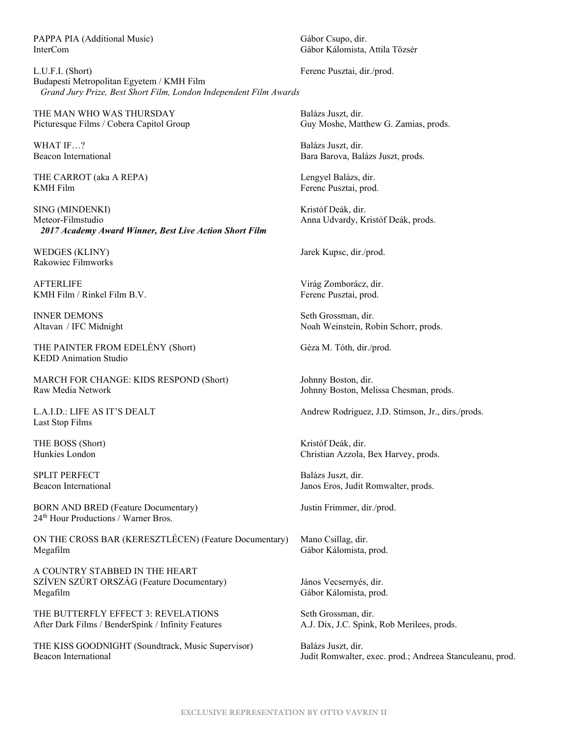PAPPA PIA (Additional Music) Gábor Csupo, dir. InterCom Gábor Kálomista, Attila Tözsér

L.U.F.I. (Short) Ferenc Pusztai, dir./prod. Budapesti Metropolitan Egyetem / KMH Film *Grand Jury Prize, Best Short Film, London Independent Film Awards*

THE MAN WHO WAS THURSDAY Balázs Juszt, dir. Picturesque Films / Cobera Capitol Group Guy Guy Moshe, Matthew G. Zamias, prods.

WHAT IF…? Balázs Juszt, dir.

THE CARROT (aka A REPA) Lengyel Balázs, dir. KMH Film Ferenc Pusztai, prod.

SING (MINDENKI) Kristóf Deák, dir. Meteor-Filmstudio **Anna Udvardy, Kristóf Deák**, prods. *2017 Academy Award Winner, Best Live Action Short Film*

Rakowiec Filmworks

AFTERLIFE Virág Zomborácz, dir. KMH Film / Rinkel Film B.V. Ferenc Pusztai, prod.

INNER DEMONS Seth Grossman, dir.

THE PAINTER FROM EDELÉNY (Short) Géza M. Tóth, dir./prod. KEDD Animation Studio

MARCH FOR CHANGE: KIDS RESPOND (Short) Johnny Boston, dir. Raw Media Network Johnny Boston, Melissa Chesman, prods.

Last Stop Films

THE BOSS (Short) Kristóf Deák, dir.<br>
Hunkies London (Kristán Azzola, Kristán Azzola, Kristán Azzola, Kristán Azzola, Kristán Azzola, Kristán Azzola

SPLIT PERFECT Balázs Juszt, dir.

BORN AND BRED (Feature Documentary) Justin Frimmer, dir./prod. 24<sup>th</sup> Hour Productions / Warner Bros.

ON THE CROSS BAR (KERESZTLÉCEN) (Feature Documentary) Mano Csillag, dir. Megafilm Gábor Kálomista, prod.

A COUNTRY STABBED IN THE HEART SZÍVEN SZÚRT ORSZÁG (Feature Documentary) János Vecsernyés, dir. Megafilm Gábor Kálomista, prod.

THE BUTTERFLY EFFECT 3: REVELATIONS Seth Grossman, dir. After Dark Films / BenderSpink / Infinity Features A.J. Dix, J.C. Spink, Rob Merilees, prods.

THE KISS GOODNIGHT (Soundtrack, Music Supervisor) Balázs Juszt, dir. Beacon International **Mateurs** Judit Romwalter, exec. prod.; Andreea Stanculeanu, prod.

Beacon International Bara Barova, Balázs Juszt, prods.

WEDGES (KLINY) Jarek Kupsc, dir./prod.

Altavan / IFC Midnight Noah Weinstein, Robin Schorr, prods.

L.A.I.D.: LIFE AS IT'S DEALT Andrew Rodriguez, J.D. Stimson, Jr., dirs./prods.

Christian Azzola, Bex Harvey, prods.

Beacon International **Beacon International** Janos Eros, Judit Romwalter, prods.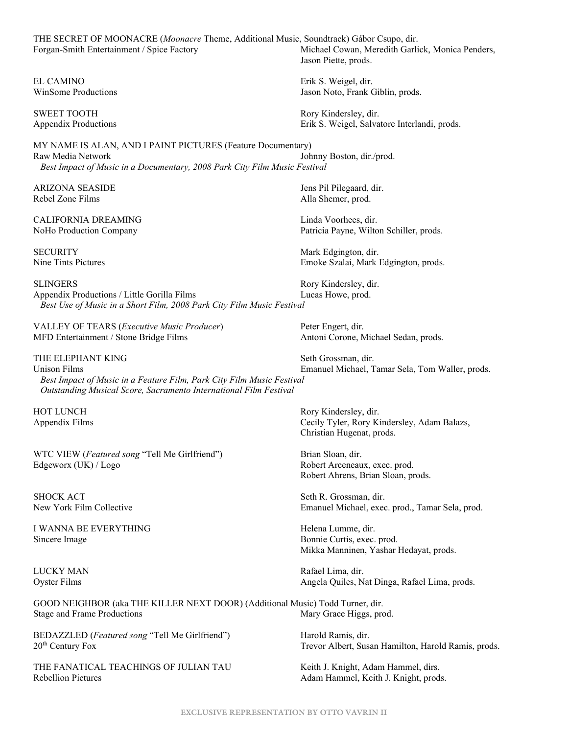THE SECRET OF MOONACRE (*Moonacre* Theme, Additional Music, Soundtrack) Gábor Csupo, dir. Forgan-Smith Entertainment / Spice Factory Michael Cowan, Meredith Garlick, Monica Penders,

EL CAMINO Erik S. Weigel, dir.

SWEET TOOTH Rory Kindersley, dir.

Jason Piette, prods.

WinSome Productions Jason Noto, Frank Giblin, prods.

Appendix Productions Erik S. Weigel, Salvatore Interlandi, prods.

MY NAME IS ALAN, AND I PAINT PICTURES (Feature Documentary) Raw Media Network **Iohnny Boston, dir./prod.**  *Best Impact of Music in a Documentary, 2008 Park City Film Music Festival*

ARIZONA SEASIDE Jens Pil Pilegaard, dir.<br>Rebel Zone Films Jens Pilms Alla Shemer, prod.

CALIFORNIA DREAMING Linda Voorhees, dir.

SECURITY Mark Edgington, dir.

SLINGERS Rory Kindersley, dir. Appendix Productions / Little Gorilla Films Lucas Howe, prod.  *Best Use of Music in a Short Film, 2008 Park City Film Music Festival* 

VALLEY OF TEARS (*Executive Music Producer*) Peter Engert, dir. MFD Entertainment / Stone Bridge Films Antoni Corone, Michael Sedan, prods.

THE ELEPHANT KING Seth Grossman, dir. Unison Films Emanuel Michael, Tamar Sela, Tom Waller, prods.  *Best Impact of Music in a Feature Film, Park City Film Music Festival Outstanding Musical Score, Sacramento International Film Festival* 

WTC VIEW (*Featured song* "Tell Me Girlfriend") Brian Sloan, dir. Edgeworx (UK) / Logo Robert Arceneaux, exec. prod.

SHOCK ACT SHOCK ACT SET ACCOUNT AND SET ASSEMBLE TO SET A SET AND SET AND SET AND SET AND SET AND SET AND SET AND SET AND SET AND SET AND SET AND SET AND SET AND SET AND SET AND SET AND SET AND SET AND SET AND SET AND SET

I WANNA BE EVERYTHING **Helena Lumme**, dir. Sincere Image Bonnie Curtis, exec. prod.

GOOD NEIGHBOR (aka THE KILLER NEXT DOOR) (Additional Music) Todd Turner, dir. Stage and Frame Productions Mary Grace Higgs, prod.

BEDAZZLED (*Featured song* "Tell Me Girlfriend") Harold Ramis, dir. 20<sup>th</sup> Century Fox Trevor Albert, Susan Hamilton, Harold Ramis, prods.

THE FANATICAL TEACHINGS OF JULIAN TAU Keith J. Knight, Adam Hammel, dirs. Rebellion Pictures Adam Hammel, Keith J. Knight, prods.

Alla Shemer, prod.

NoHo Production Company Patricia Payne, Wilton Schiller, prods.

Nine Tints Pictures **Emoke Szalai, Mark Edgington**, prods.

HOT LUNCH Rory Kindersley, dir. Appendix Films Cecily Tyler, Rory Kindersley, Adam Balazs, Christian Hugenat, prods.

Robert Ahrens, Brian Sloan, prods.

New York Film Collective **Emanuel Michael, exec. prod., Tamar Sela**, prod.

Mikka Manninen, Yashar Hedayat, prods.

LUCKY MAN Rafael Lima, dir. Oyster Films Angela Quiles, Nat Dinga, Rafael Lima, prods.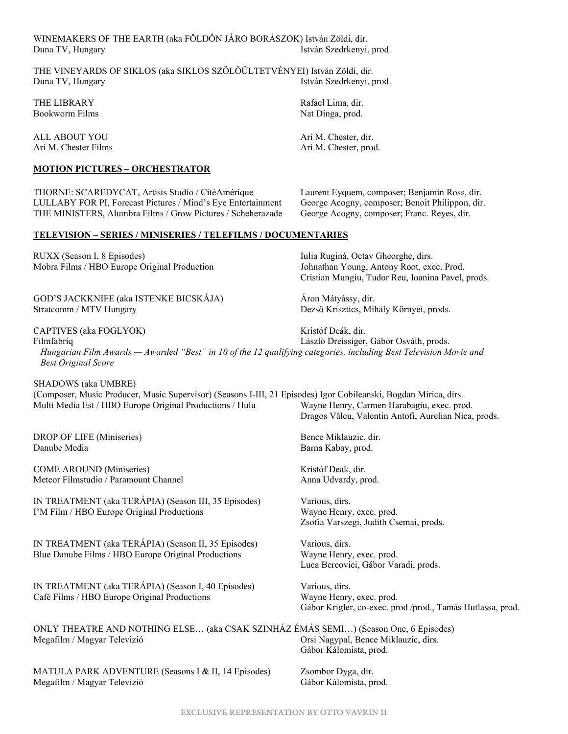| Bookworm Films                                                                                                                                                                          | Nat Dinga, prod.                                                                                                                                |  |
|-----------------------------------------------------------------------------------------------------------------------------------------------------------------------------------------|-------------------------------------------------------------------------------------------------------------------------------------------------|--|
| ALL ABOUT YOU                                                                                                                                                                           | Ari M. Chester, dir.                                                                                                                            |  |
| Ari M. Chester Films                                                                                                                                                                    | Ari M. Chester, prod.                                                                                                                           |  |
| <b>MOTION PICTURES - ORCHESTRATOR</b>                                                                                                                                                   |                                                                                                                                                 |  |
| THORNE: SCAREDYCAT, Artists Studio / CitéAmérique<br>LULLABY FOR PI, Forecast Pictures / Mind's Eye Entertainment<br>THE MINISTERS, Alumbra Films / Grow Pictures / Scheherazade        | Laurent Eyquem, composer; Benjamin Ross, dir.<br>George Acogny, composer; Benoit Philippon, dir.<br>George Acogny, composer; Franc. Reyes, dir. |  |
| <b>TELEVISION - SERIES / MINISERIES / TELEFILMS / DOCUMENTARIES</b>                                                                                                                     |                                                                                                                                                 |  |
| RUXX (Season I, 8 Episodes)<br>Mobra Films / HBO Europe Original Production                                                                                                             | Iulia Ruginá, Octav Gheorghe, dirs.<br>Johnathan Young, Antony Root, exec. Prod.<br>Cristian Mungiu, Tudor Reu, Ioanina Pavel, prods.           |  |
| GOD'S JACKKNIFE (aka ISTENKE BICSKÁJA)<br>Stratcomm / MTV Hungary                                                                                                                       | Áron Mátyássy, dir.<br>Dezsö Krisztics, Mihály Környei, prods.                                                                                  |  |
| CAPTIVES (aka FOGLYOK)<br>Filmfabriq<br>Hungarian Film Awards — Awarded "Best" in 10 of the 12 qualifying categories, including Best Television Movie and<br><b>Best Original Score</b> | Kristóf Deák, dir.<br>László Dreissiger, Gábor Osváth, prods.                                                                                   |  |

SHADOWS (aka UMBRE) (Composer, Music Producer, Music Supervisor) (Seasons I-III, 21 Episodes) Igor Cobileanski, Bogdan Mirica, dirs. Multi Media Est / HBO Europe Original Productions / Hulu Wayne Henry, Carmen Harabagiu, exec. prod.

DROP OF LIFE (Miniseries) Bence Miklauzic, dir. Danube Media **Barna Kabay**, prod.

COME AROUND (Miniseries) The Come of the Kristóf Deák, dir. Meteor Filmstudio / Paramount Channel **Anna Udvardy**, prod.

IN TREATMENT (aka TERÁPIA) (Season III, 35 Episodes) Various, dirs. I'M Film / HBO Europe Original Productions Wayne Henry, exec. prod.

IN TREATMENT (aka TERÁPIA) (Season II, 35 Episodes) Various, dirs. Blue Danube Films / HBO Europe Original Productions Wayne Henry, exec. prod.

IN TREATMENT (aka TERÁPIA) (Season I, 40 Episodes) Various, dirs. Café Films / HBO Europe Original Productions Wayne Henry, exec. prod.

ONLY THEATRE AND NOTHING ELSE… (aka CSAK SZINHÁZ ÉMÁS SEMI…) (Season One, 6 Episodes) Megafilm / Magyar Televizió Orsi Nagypal, Bence Miklauzic, dirs.

MATULA PARK ADVENTURE (Seasons I & II, 14 Episodes) Zsombor Dyga, dir. Megafilm / Magyar Televizió Gábor Kálomista, prod.

Dragos Vâlcu, Valentin Antofi, Aurelian Nica, prods.

Zsofia Varszegi, Judith Csemai, prods.

Luca Bercovici, Gábor Varadi, prods.

Gábor Krigler, co-exec. prod./prod., Tamás Hutlassa, prod.

Gábor Kálomista, prod.

WINEMAKERS OF THE EARTH (aka FÖLDÔN JÁRO BORÁSZOK) István Zöldi, dir. Duna TV, Hungary István Szedrkenyi, prod.

THE VINEYARDS OF SIKLOS (aka SIKLOS SZÖLÖÜLTETVÉNYEI) István Zöldi, dir. Duna TV, Hungary István Szedrkenyi, prod.

THE LIBRARY Rafael Lima, dir.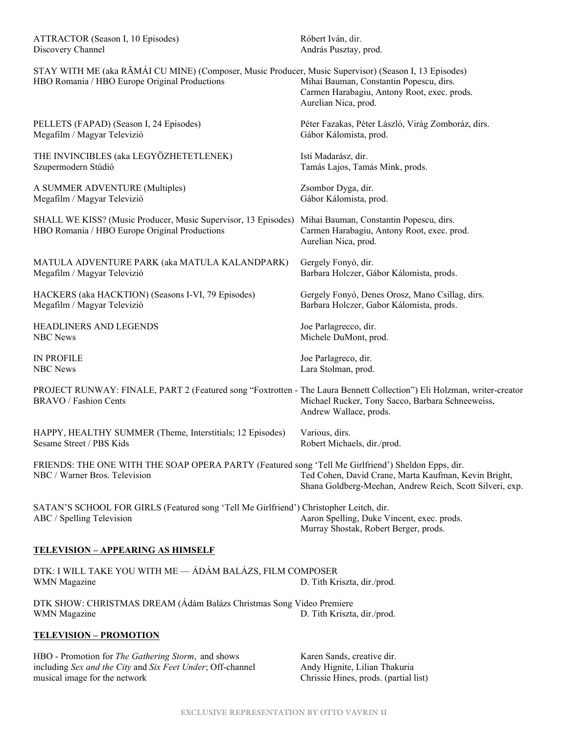| ATTRACTOR (Season I, 10 Episodes) |
|-----------------------------------|
| Discovery Channel                 |

| STAY WITH ME (aka RÂMÁI CU MINE) (Composer, Music Producer, Music Supervisor) (Season I, 13 Episodes)<br>HBO Romania / HBO Europe Original Productions | Mihai Bauman, Constantin Popescu, dirs.<br>Carmen Harabagiu, Antony Root, exec. prods.<br>Aurelian Nica, prod. |
|--------------------------------------------------------------------------------------------------------------------------------------------------------|----------------------------------------------------------------------------------------------------------------|
| PELLETS (FAPAD) (Season I, 24 Episodes)                                                                                                                | Péter Fazakas, Péter László, Virág Zomboráz, dirs.                                                             |
| Megafilm / Magyar Televizió                                                                                                                            | Gábor Kálomista, prod.                                                                                         |
| THE INVINCIBLES (aka LEGYÖZHETETLENEK)                                                                                                                 | Isti Madarász, dir.                                                                                            |
| Szupermodern Stúdió                                                                                                                                    | Tamás Lajos, Tamás Mink, prods.                                                                                |
| A SUMMER ADVENTURE (Multiples)                                                                                                                         | Zsombor Dyga, dir.                                                                                             |
| Megafilm / Magyar Televizió                                                                                                                            | Gábor Kálomista, prod.                                                                                         |
| SHALL WE KISS? (Music Producer, Music Supervisor, 13 Episodes)<br>HBO Romania / HBO Europe Original Productions                                        | Mihai Bauman, Constantin Popescu, dirs.<br>Carmen Harabagiu, Antony Root, exec. prod.<br>Aurelian Nica, prod.  |
| MATULA ADVENTURE PARK (aka MATULA KALANDPARK)                                                                                                          | Gergely Fonyó, dir.                                                                                            |
| Megafilm / Magyar Televizió                                                                                                                            | Barbara Holczer, Gábor Kálomista, prods.                                                                       |
| HACKERS (aka HACKTION) (Seasons I-VI, 79 Episodes)                                                                                                     | Gergely Fonyó, Denes Orosz, Mano Csillag, dirs.                                                                |
| Megafilm / Magyar Televizió                                                                                                                            | Barbara Holczer, Gabor Kálomista, prods.                                                                       |
| HEADLINERS AND LEGENDS                                                                                                                                 | Joe Parlagrecco, dir.                                                                                          |
| NBC News                                                                                                                                               | Michele DuMont, prod.                                                                                          |
| <b>IN PROFILE</b>                                                                                                                                      | Joe Parlagreco, dir.                                                                                           |
| <b>NBC</b> News                                                                                                                                        | Lara Stolman, prod.                                                                                            |
| PROJECT RUNWAY: FINALE, PART 2 (Featured song "Foxtrotten - The Laura Bennett Collection") Eli Holzman, writer-creator                                 | Michael Rucker, Tony Sacco, Barbara Schneeweiss,                                                               |
| <b>BRAVO</b> / Fashion Cents                                                                                                                           | Andrew Wallace, prods.                                                                                         |
| HAPPY, HEALTHY SUMMER (Theme, Interstitials; 12 Episodes)                                                                                              | Various, dirs.                                                                                                 |
| Sesame Street / PBS Kids                                                                                                                               | Robert Michaels, dir./prod.                                                                                    |
| FRIENDS: THE ONE WITH THE SOAP OPERA PARTY (Featured song 'Tell Me Girlfriend') Sheldon Epps, dir.                                                     | Ted Cohen, David Crane, Marta Kaufman, Kevin Bright,                                                           |
| NBC / Warner Bros. Television                                                                                                                          | Shana Goldberg-Meehan, Andrew Reich, Scott Silveri, exp.                                                       |
| SATAN'S SCHOOL FOR GIRLS (Featured song 'Tell Me Girlfriend') Christopher Leitch, dir.                                                                 | Aaron Spelling, Duke Vincent, exec. prods.                                                                     |
| ABC / Spelling Television                                                                                                                              | Murray Shostak, Robert Berger, prods.                                                                          |

## **TELEVISION – APPEARING AS HIMSELF**

| DTK: I WILL TAKE YOU WITH ME — ÁDÁM BALÁZS, FILM COMPOSER |                             |
|-----------------------------------------------------------|-----------------------------|
| WMN Magazine                                              | D. Tith Kriszta, dir./prod. |

DTK SHOW: CHRISTMAS DREAM (Ádám Balázs Christmas Song Video Premiere WMN Magazine D. Tith Kriszta, dir./prod.

## **TELEVISION – PROMOTION**

HBO - Promotion for *The Gathering Storm*, and shows Karen Sands, creative dir.<br>
including *Sex and the City* and *Six Feet Under*; Off-channel Andy Hignite, Lilian Thakuria including *Sex and the City* and *Six Feet Under*; Off-channel musical image for the network

Chrissie Hines, prods. (partial list)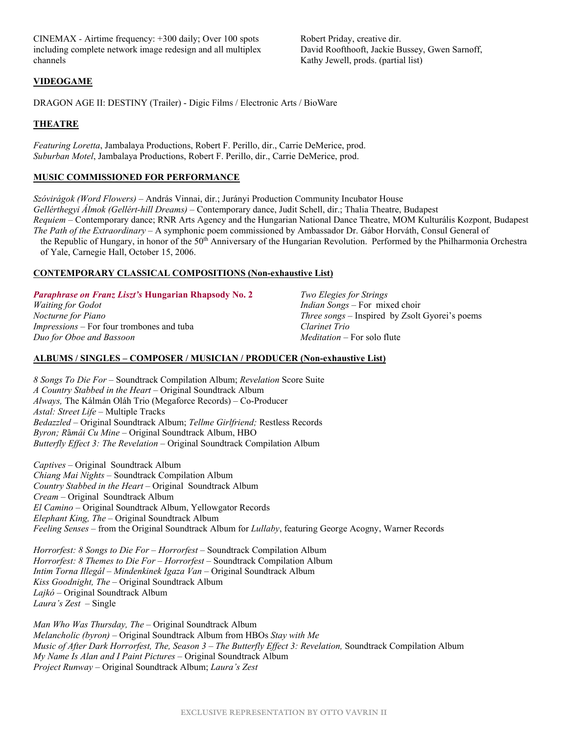CINEMAX - Airtime frequency: +300 daily; Over 100 spots Robert Priday, creative dir. including complete network image redesign and all multiplex David Roofthooft, Jackie Bussey, Gwen Sarnoff, channels **Kathy Jewell, prods.** (partial list)

## **VIDEOGAME**

DRAGON AGE II: DESTINY (Trailer) - Digic Films / Electronic Arts / BioWare

#### **THEATRE**

*Featuring Loretta*, Jambalaya Productions, Robert F. Perillo, dir., Carrie DeMerice, prod. *Suburban Motel*, Jambalaya Productions, Robert F. Perillo, dir., Carrie DeMerice, prod.

#### **MUSIC COMMISSIONED FOR PERFORMANCE**

*Szóvirágok (Word Flowers) –* András Vinnai, dir.; Jurányi Production Community Incubator House *Gellérthegyi Álmok (Gellért-hill Dreams) –* Contemporary dance, Judit Schell, dir.; Thalia Theatre, Budapest *Requiem* – Contemporary dance; RNR Arts Agency and the Hungarian National Dance Theatre, MOM Kulturális Kozpont, Budapest *The Path of the Extraordinary* – A symphonic poem commissioned by Ambassador Dr. Gábor Horváth, Consul General of the Republic of Hungary, in honor of the 50<sup>th</sup> Anniversary of the Hungarian Revolution. Performed by the Philharmonia Orchestra of Yale, Carnegie Hall, October 15, 2006.

#### **CONTEMPORARY CLASSICAL COMPOSITIONS (Non-exhaustive List)**

| <i>Paraphrase on Franz Liszt's</i> Hungarian Rhapsody No. 2 | <i>Two Elegies for Strings</i>                        |
|-------------------------------------------------------------|-------------------------------------------------------|
| <i>Waiting for Godot</i>                                    | <i>Indian Songs</i> – For mixed choir                 |
| <i>Nocturne for Piano</i>                                   | <i>Three songs</i> – Inspired by Zsolt Gyorei's poems |
| <i>Impressions</i> – For four trombones and tuba            | Clarinet Trio                                         |
| Duo for Oboe and Bassoon                                    | <i>Meditation</i> – For solo flute                    |

#### **ALBUMS / SINGLES – COMPOSER / MUSICIAN / PRODUCER (Non-exhaustive List)**

*8 Songs To Die For –* Soundtrack Compilation Album; *Revelation* Score Suite *A Country Stabbed in the Heart –* Original Soundtrack Album *Always,* The Kálmán Oláh Trio (Megaforce Records) – Co-Producer *Astal: Street Life –* Multiple Tracks *Bedazzled –* Original Soundtrack Album; *Tellme Girlfriend;* Restless Records *Byron; R*ȃ*mâi Cu Mine –* Original Soundtrack Album, HBO *Butterfly Effect 3: The Revelation –* Original Soundtrack Compilation Album

*Captives –* Original Soundtrack Album *Chiang Mai Nights –* Soundtrack Compilation Album *Country Stabbed in the Heart –* Original Soundtrack Album *Cream –* Original Soundtrack Album *El Camino –* Original Soundtrack Album, Yellowgator Records *Elephant King, The –* Original Soundtrack Album *Feeling Senses –* from the Original Soundtrack Album for *Lullaby*, featuring George Acogny, Warner Records

*Horrorfest: 8 Songs to Die For – Horrorfest –* Soundtrack Compilation Album *Horrorfest: 8 Themes to Die For – Horrorfest* – Soundtrack Compilation Album *Intim Torna Illegál – Mindenkinek Igaza Van –* Original Soundtrack Album *Kiss Goodnight, The* – Original Soundtrack Album *Lajkó –* Original Soundtrack Album *Laura's Zest –* Single

*Man Who Was Thursday, The* – Original Soundtrack Album *Melancholic (byron)* – Original Soundtrack Album from HBOs *Stay with Me Music of After Dark Horrorfest, The, Season 3 – The Butterfly Effect 3: Revelation,* Soundtrack Compilation Album *My Name Is Alan and I Paint Pictures –* Original Soundtrack Album *Project Runway* – Original Soundtrack Album; *Laura's Zest*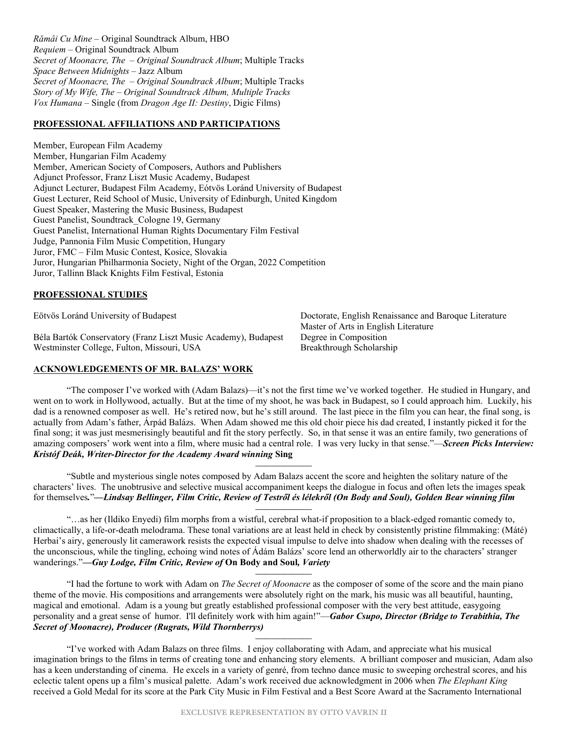*Rămâi Cu Mine –* Original Soundtrack Album, HBO *Requiem* – Original Soundtrack Album *Secret of Moonacre, The – Original Soundtrack Album*; Multiple Tracks *Space Between Midnights* – Jazz Album *Secret of Moonacre, The – Original Soundtrack Album*; Multiple Tracks *Story of My Wife, The – Original Soundtrack Album, Multiple Tracks Vox Humana –* Single (from *Dragon Age II: Destiny*, Digic Films)

## **PROFESSIONAL AFFILIATIONS AND PARTICIPATIONS**

Member, European Film Academy Member, Hungarian Film Academy Member, American Society of Composers, Authors and Publishers Adjunct Professor, Franz Liszt Music Academy, Budapest Adjunct Lecturer, Budapest Film Academy, Eótvös Loránd University of Budapest Guest Lecturer, Reid School of Music, University of Edinburgh, United Kingdom Guest Speaker, Mastering the Music Business, Budapest Guest Panelist, Soundtrack\_Cologne 19, Germany Guest Panelist, International Human Rights Documentary Film Festival Judge, Pannonia Film Music Competition, Hungary Juror, FMC – Film Music Contest, Kosice, Slovakia Juror, Hungarian Philharmonia Society, Night of the Organ, 2022 Competition Juror, Tallinn Black Knights Film Festival, Estonia

#### **PROFESSIONAL STUDIES**

Eötvös Loránd University of Budapest Doctorate, English Renaissance and Baroque Literature Béla Bartók Conservatory (Franz Liszt Music Academy), Budapest Westminster College, Fulton, Missouri, USA Breakthrough Scholarship

Master of Arts in English Literature<br>Degree in Composition

#### **ACKNOWLEDGEMENTS OF MR. BALAZS' WORK**

"The composer I've worked with (Adam Balazs)—it's not the first time we've worked together. He studied in Hungary, and went on to work in Hollywood, actually. But at the time of my shoot, he was back in Budapest, so I could approach him. Luckily, his dad is a renowned composer as well. He's retired now, but he's still around. The last piece in the film you can hear, the final song, is actually from Adam's father, Árpád Balázs. When Adam showed me this old choir piece his dad created, I instantly picked it for the final song; it was just mesmerisingly beautiful and fit the story perfectly. So, in that sense it was an entire family, two generations of amazing composers' work went into a film, where music had a central role. I was very lucky in that sense."—*Screen Picks Interview: Kristóf Deák, Writer-Director for the Academy Award winning* **Sing**

"Subtle and mysterious single notes composed by Adam Balazs accent the score and heighten the solitary nature of the characters' lives. The unobtrusive and selective musical accompaniment keeps the dialogue in focus and often lets the images speak for themselves*.*"*—Lindsay Bellinger, Film Critic, Review of Testről és lélekről (On Body and Soul), Golden Bear winning film*

 $\overline{\phantom{a}}$ 

"…as her (Ildiko Enyedi) film morphs from a wistful, cerebral what-if proposition to a black-edged romantic comedy to, climactically, a life-or-death melodrama. These tonal variations are at least held in check by consistently pristine filmmaking: (Máté) Herbai's airy, generously lit camerawork resists the expected visual impulse to delve into shadow when dealing with the recesses of the unconscious, while the tingling, echoing wind notes of Ádám Balázs' score lend an otherworldly air to the characters' stranger wanderings."*—Guy Lodge, Film Critic, Review of* **On Body and Soul***, Variety*

"I had the fortune to work with Adam on *The Secret of Moonacre* as the composer of some of the score and the main piano theme of the movie. His compositions and arrangements were absolutely right on the mark, his music was all beautiful, haunting, magical and emotional. Adam is a young but greatly established professional composer with the very best attitude, easygoing personality and a great sense of humor. I'll definitely work with him again!"—*Gabor Csupo, Director (Bridge to Terabithia, The Secret of Moonacre), Producer (Rugrats, Wild Thornberrys)*

"I've worked with Adam Balazs on three films. I enjoy collaborating with Adam, and appreciate what his musical imagination brings to the films in terms of creating tone and enhancing story elements. A brilliant composer and musician, Adam also has a keen understanding of cinema. He excels in a variety of genré, from techno dance music to sweeping orchestral scores, and his eclectic talent opens up a film's musical palette. Adam's work received due acknowledgment in 2006 when *The Elephant King* received a Gold Medal for its score at the Park City Music in Film Festival and a Best Score Award at the Sacramento International